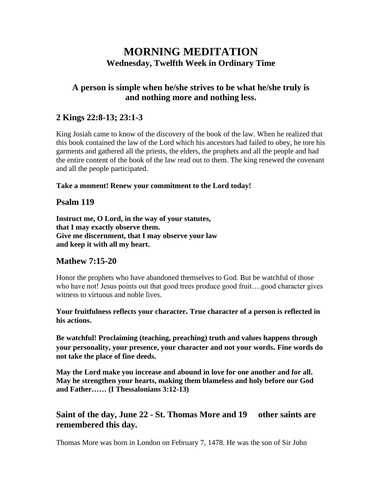# **MORNING MEDITATION Wednesday, Twelfth Week in Ordinary Time**

# **A person is simple when he/she strives to be what he/she truly is and nothing more and nothing less.**

# **2 Kings 22:8-13; 23:1-3**

King Josiah came to know of the discovery of the book of the law. When he realized that this book contained the law of the Lord which his ancestors had failed to obey, he tore his garments and gathered all the priests, the elders, the prophets and all the people and had the entire content of the book of the law read out to them. The king renewed the covenant and all the people participated.

#### **Take a moment! Renew your commitment to the Lord today!**

# **Psalm 119**

**Instruct me, O Lord, in the way of your statutes, that I may exactly observe them. Give me discernment, that I may observe your law and keep it with all my heart.**

### **Mathew 7:15-20**

Honor the prophets who have abandoned themselves to God. But be watchful of those who have not! Jesus points out that good trees produce good fruit....good character gives witness to virtuous and noble lives.

**Your fruitfulness reflects your character. True character of a person is reflected in his actions.**

**Be watchful! Proclaiming (teaching, preaching) truth and values happens through your personality, your presence, your character and not your words. Fine words do not take the place of fine deeds.**

**May the Lord make you increase and abound in love for one another and for all. May he strengthen your hearts, making them blameless and holy before our God and Father…… (I Thessalonians 3:12-13)**

# **Saint of the day, June 22 - St. Thomas More and 19 other saints are remembered this day.**

Thomas More was born in London on February 7, 1478. He was the son of Sir John